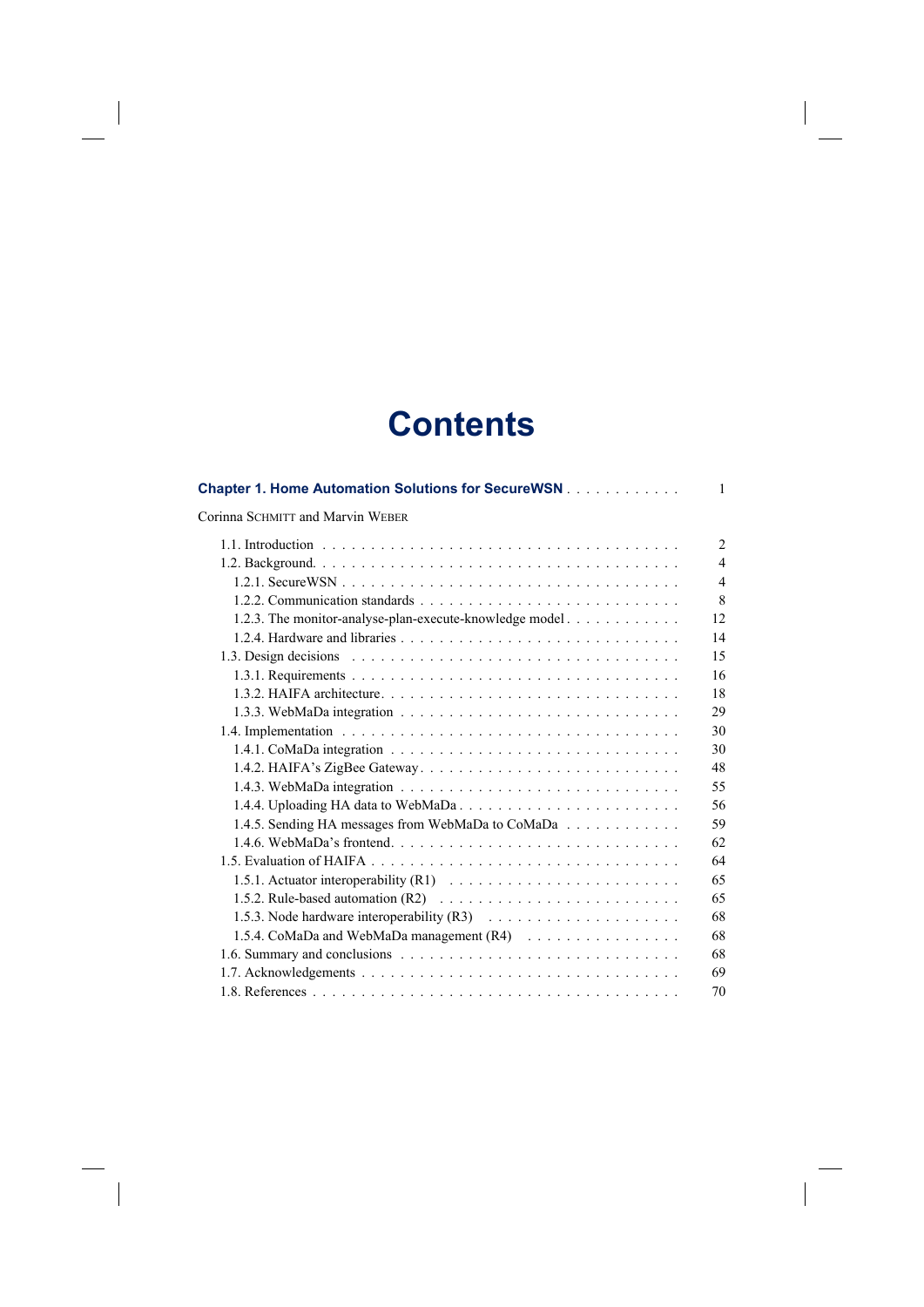## **Contents**

 $\overline{\phantom{a}}$ 

 $\begin{array}{c} \hline \end{array}$ 

 $\begin{array}{c} \hline \end{array}$ 

| <b>Chapter 1. Home Automation Solutions for SecureWSN</b>                                                                                    | 1              |
|----------------------------------------------------------------------------------------------------------------------------------------------|----------------|
| Corinna SCHMITT and Marvin WEBER                                                                                                             |                |
|                                                                                                                                              | $\overline{2}$ |
|                                                                                                                                              | $\overline{4}$ |
|                                                                                                                                              | $\overline{4}$ |
|                                                                                                                                              | 8              |
| 1.2.3. The monitor-analyse-plan-execute-knowledge model                                                                                      | 12             |
|                                                                                                                                              | 14             |
| 1.3. Design decisions $\ldots$ , $\ldots$ , $\ldots$ , $\ldots$ , $\ldots$ , $\ldots$ , $\ldots$ , $\ldots$ , $\ldots$ , $\ldots$ , $\ldots$ | 15             |
|                                                                                                                                              | 16             |
|                                                                                                                                              | 18             |
|                                                                                                                                              | 29             |
|                                                                                                                                              | 30             |
|                                                                                                                                              | 30             |
| 1.4.2. HAIFA's ZigBee Gateway                                                                                                                | 48             |
|                                                                                                                                              | 55             |
|                                                                                                                                              | 56             |
| 1.4.5. Sending HA messages from WebMaDa to CoMaDa                                                                                            | 59             |
|                                                                                                                                              | 62             |
|                                                                                                                                              | 64             |
|                                                                                                                                              | 65             |
|                                                                                                                                              | 65             |
|                                                                                                                                              | 68             |
| 1.5.4. CoMaDa and WebMaDa management (R4)                                                                                                    | 68             |
|                                                                                                                                              | 68             |
|                                                                                                                                              | 69             |
|                                                                                                                                              | 70             |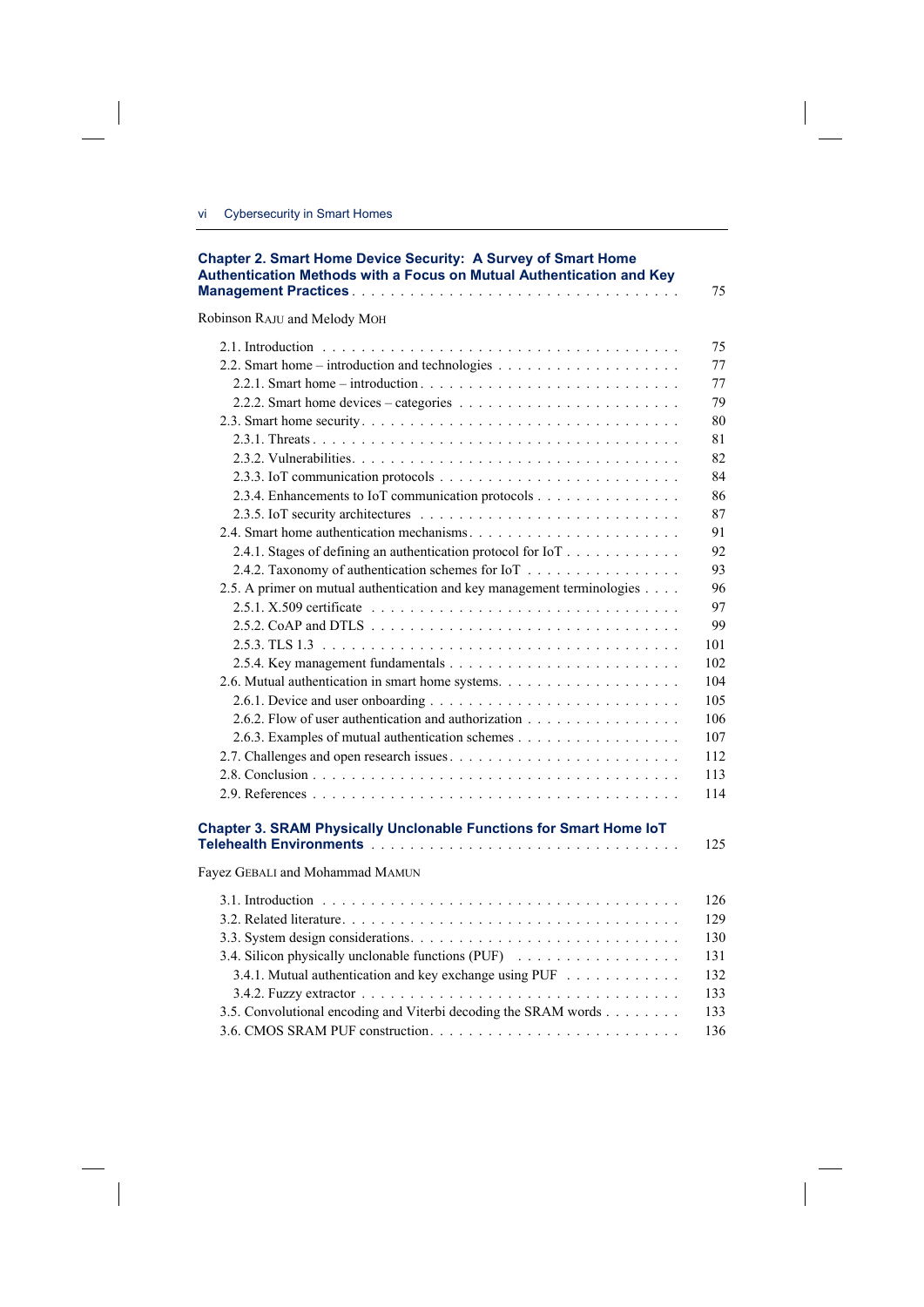$\overline{\phantom{a}}$ 

 $\overline{\phantom{a}}$ 

| Robinson RAJU and Melody MOH                                            |  |
|-------------------------------------------------------------------------|--|
|                                                                         |  |
|                                                                         |  |
|                                                                         |  |
|                                                                         |  |
|                                                                         |  |
|                                                                         |  |
|                                                                         |  |
|                                                                         |  |
| 2.3.4. Enhancements to IoT communication protocols                      |  |
|                                                                         |  |
|                                                                         |  |
| 2.4.1. Stages of defining an authentication protocol for IoT            |  |
| 2.4.2. Taxonomy of authentication schemes for IoT                       |  |
| 2.5. A primer on mutual authentication and key management terminologies |  |
|                                                                         |  |
|                                                                         |  |
|                                                                         |  |
|                                                                         |  |
|                                                                         |  |
|                                                                         |  |
| 2.6.2. Flow of user authentication and authorization                    |  |
| 2.6.3. Examples of mutual authentication schemes                        |  |
|                                                                         |  |
|                                                                         |  |
|                                                                         |  |
| Chapter 3. SRAM Physically Unclonable Functions for Smart Home IoT      |  |
| Fayez GEBALI and Mohammad MAMUN                                         |  |
|                                                                         |  |
|                                                                         |  |
|                                                                         |  |
|                                                                         |  |
| 3.4. Silicon physically unclonable functions (PUF)                      |  |
| 3.4.1. Mutual authentication and key exchange using PUF                 |  |
|                                                                         |  |
| 3.5. Convolutional encoding and Viterbi decoding the SRAM words         |  |
|                                                                         |  |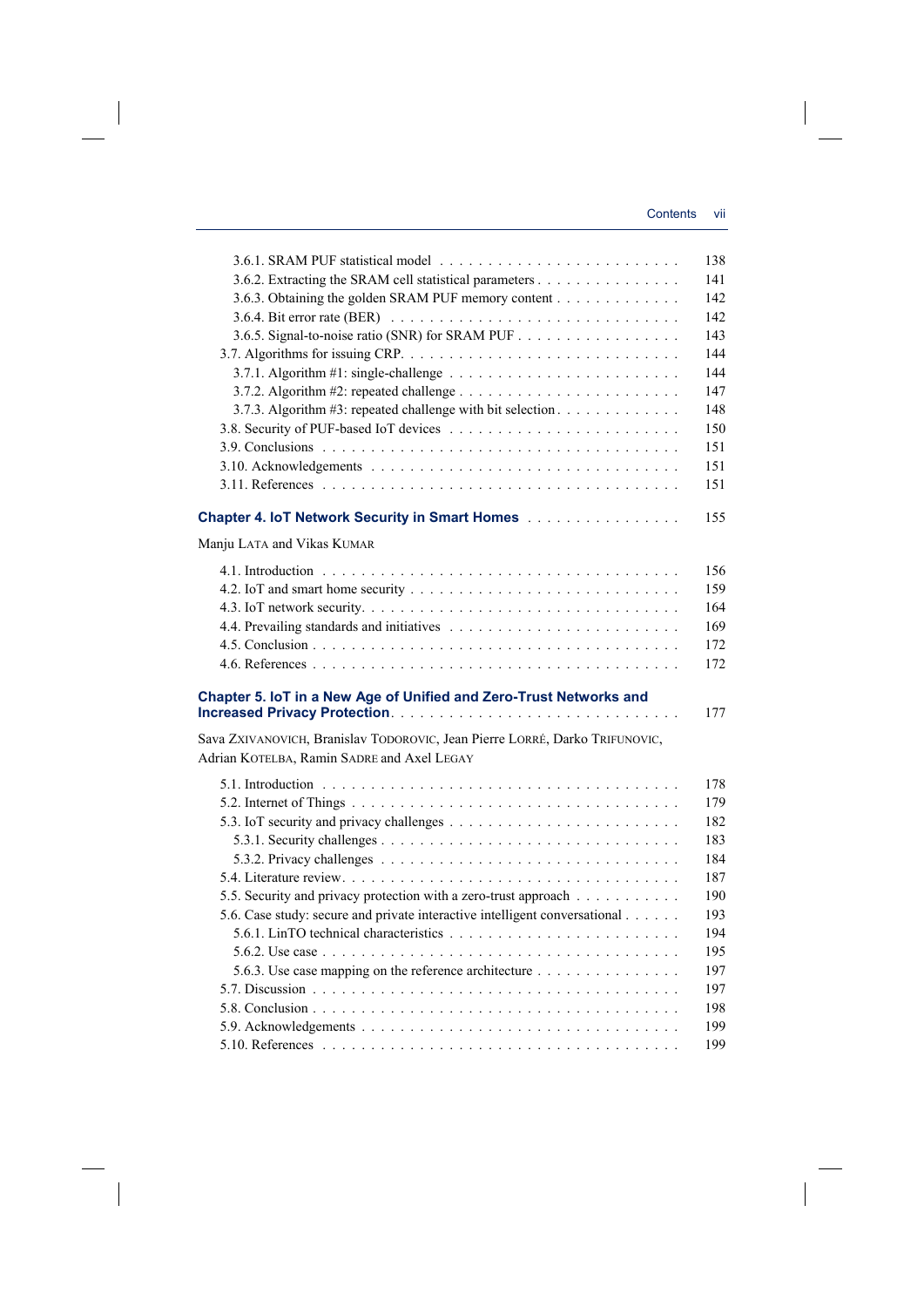$\overline{\phantom{a}}$ 

 $\overline{\phantom{a}}$ 

| 3.6.2. Extracting the SRAM cell statistical parameters                                                                                                                                          |  |
|-------------------------------------------------------------------------------------------------------------------------------------------------------------------------------------------------|--|
| 3.6.3. Obtaining the golden SRAM PUF memory content                                                                                                                                             |  |
|                                                                                                                                                                                                 |  |
|                                                                                                                                                                                                 |  |
|                                                                                                                                                                                                 |  |
|                                                                                                                                                                                                 |  |
|                                                                                                                                                                                                 |  |
| 3.7.3. Algorithm #3: repeated challenge with bit selection.                                                                                                                                     |  |
|                                                                                                                                                                                                 |  |
|                                                                                                                                                                                                 |  |
|                                                                                                                                                                                                 |  |
|                                                                                                                                                                                                 |  |
|                                                                                                                                                                                                 |  |
| <b>Chapter 4. IoT Network Security in Smart Homes</b>                                                                                                                                           |  |
| Manju LATA and Vikas KUMAR                                                                                                                                                                      |  |
|                                                                                                                                                                                                 |  |
|                                                                                                                                                                                                 |  |
|                                                                                                                                                                                                 |  |
|                                                                                                                                                                                                 |  |
|                                                                                                                                                                                                 |  |
|                                                                                                                                                                                                 |  |
| Chapter 5. IoT in a New Age of Unified and Zero-Trust Networks and<br>Sava ZXIVANOVICH, Branislav TODOROVIC, Jean Pierre LORRÉ, Darko TRIFUNOVIC,<br>Adrian KOTELBA, Ramin SADRE and Axel LEGAY |  |
|                                                                                                                                                                                                 |  |
|                                                                                                                                                                                                 |  |
|                                                                                                                                                                                                 |  |
|                                                                                                                                                                                                 |  |
|                                                                                                                                                                                                 |  |
|                                                                                                                                                                                                 |  |
|                                                                                                                                                                                                 |  |
| 5.5. Security and privacy protection with a zero-trust approach                                                                                                                                 |  |
| 5.6. Case study: secure and private interactive intelligent conversational                                                                                                                      |  |
|                                                                                                                                                                                                 |  |
|                                                                                                                                                                                                 |  |
| 5.6.3. Use case mapping on the reference architecture                                                                                                                                           |  |
|                                                                                                                                                                                                 |  |
|                                                                                                                                                                                                 |  |
|                                                                                                                                                                                                 |  |
|                                                                                                                                                                                                 |  |

 $\overline{\phantom{a}}$ 

 $\mathcal{L}^{\mathcal{L}}$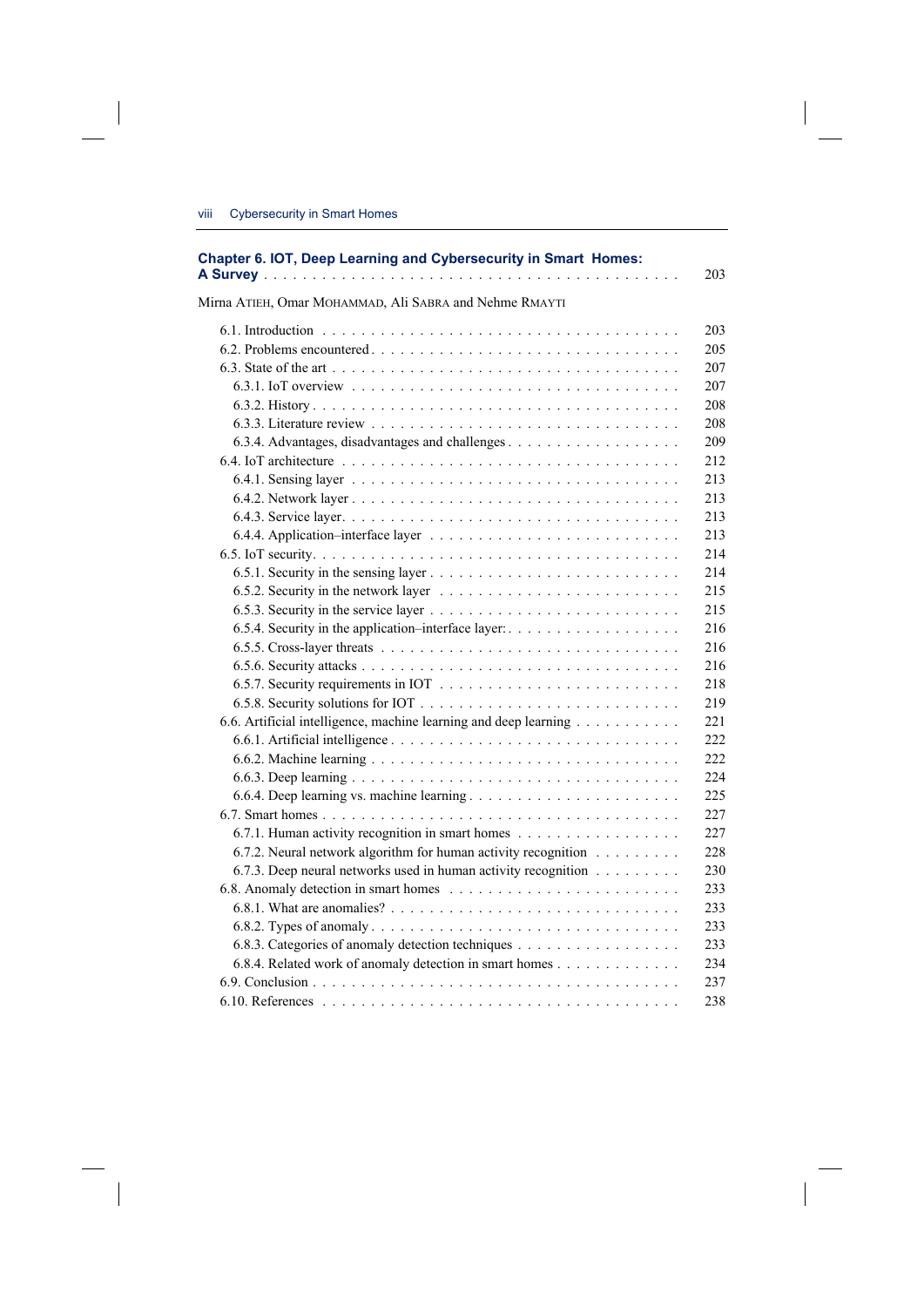$\overline{\phantom{a}}$ 

 $\overline{\phantom{a}}$ 

| Chapter 6. IOT, Deep Learning and Cybersecurity in Smart Homes:  |
|------------------------------------------------------------------|
| Mirna ATIEH, Omar MOHAMMAD, Ali SABRA and Nehme RMAYTI           |
|                                                                  |
|                                                                  |
|                                                                  |
|                                                                  |
|                                                                  |
|                                                                  |
|                                                                  |
|                                                                  |
|                                                                  |
|                                                                  |
|                                                                  |
|                                                                  |
|                                                                  |
|                                                                  |
|                                                                  |
|                                                                  |
|                                                                  |
|                                                                  |
|                                                                  |
|                                                                  |
|                                                                  |
| 6.6. Artificial intelligence, machine learning and deep learning |
|                                                                  |
|                                                                  |
|                                                                  |
|                                                                  |
|                                                                  |
| 6.7.1. Human activity recognition in smart homes                 |
| 6.7.2. Neural network algorithm for human activity recognition   |
| 6.7.3. Deep neural networks used in human activity recognition   |
|                                                                  |
|                                                                  |
|                                                                  |
|                                                                  |
| 6.8.4. Related work of anomaly detection in smart homes          |
|                                                                  |
|                                                                  |
|                                                                  |